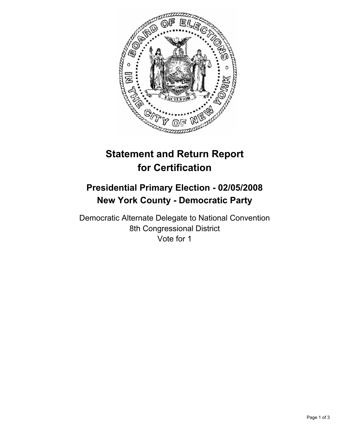

# **Statement and Return Report for Certification**

# **Presidential Primary Election - 02/05/2008 New York County - Democratic Party**

Democratic Alternate Delegate to National Convention 8th Congressional District Vote for 1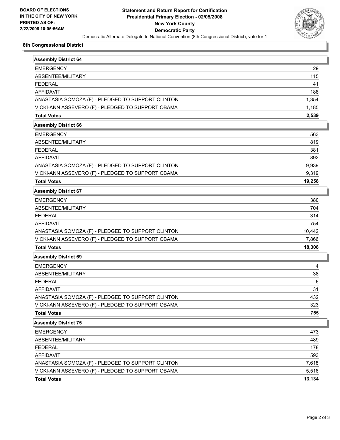

## **8th Congressional District**

| <b>Assembly District 64</b>                       |        |
|---------------------------------------------------|--------|
| <b>EMERGENCY</b>                                  | 29     |
| ABSENTEE/MILITARY                                 | 115    |
| <b>FEDERAL</b>                                    | 41     |
| <b>AFFIDAVIT</b>                                  | 188    |
| ANASTASIA SOMOZA (F) - PLEDGED TO SUPPORT CLINTON | 1,354  |
| VICKI-ANN ASSEVERO (F) - PLEDGED TO SUPPORT OBAMA | 1,185  |
| <b>Total Votes</b>                                | 2,539  |
| <b>Assembly District 66</b>                       |        |
| <b>EMERGENCY</b>                                  | 563    |
| ABSENTEE/MILITARY                                 | 819    |
| <b>FEDERAL</b>                                    | 381    |
| <b>AFFIDAVIT</b>                                  | 892    |
| ANASTASIA SOMOZA (F) - PLEDGED TO SUPPORT CLINTON | 9,939  |
| VICKI-ANN ASSEVERO (F) - PLEDGED TO SUPPORT OBAMA | 9,319  |
| <b>Total Votes</b>                                | 19,258 |
| <b>Assembly District 67</b>                       |        |
| <b>EMERGENCY</b>                                  | 380    |
| ABSENTEE/MILITARY                                 | 704    |
| <b>FEDERAL</b>                                    | 314    |
| <b>AFFIDAVIT</b>                                  | 754    |
| ANASTASIA SOMOZA (F) - PLEDGED TO SUPPORT CLINTON | 10,442 |
| VICKI-ANN ASSEVERO (F) - PLEDGED TO SUPPORT OBAMA | 7,866  |
| <b>Total Votes</b>                                | 18,308 |
| <b>Assembly District 69</b>                       |        |
| <b>EMERGENCY</b>                                  | 4      |
| ABSENTEE/MILITARY                                 | 38     |
| <b>FEDERAL</b>                                    | 6      |
| <b>AFFIDAVIT</b>                                  | 31     |
| ANASTASIA SOMOZA (F) - PLEDGED TO SUPPORT CLINTON | 432    |
| VICKI-ANN ASSEVERO (F) - PLEDGED TO SUPPORT OBAMA | 323    |
| <b>Total Votes</b>                                | 755    |
| <b>Assembly District 75</b>                       |        |
| <b>EMERGENCY</b>                                  | 473    |
| ABSENTEE/MILITARY                                 | 489    |
| <b>FEDERAL</b>                                    | 178    |
| AFFIDAVIT                                         | 593    |
| ANASTASIA SOMOZA (F) - PLEDGED TO SUPPORT CLINTON | 7,618  |
| VICKI-ANN ASSEVERO (F) - PLEDGED TO SUPPORT OBAMA | 5,516  |
| <b>Total Votes</b>                                | 13,134 |